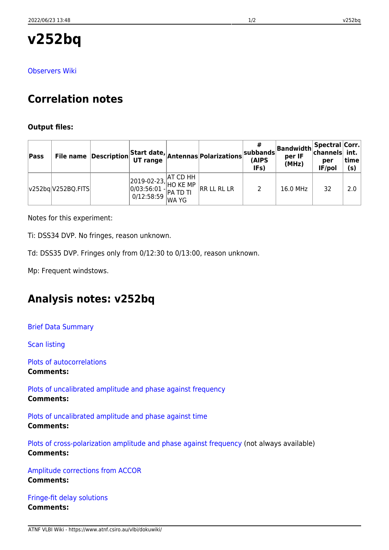**v252bq**

[Observers Wiki](http://www.atnf.csiro.au/vlbi/dokuwiki/doku.php/lbaops/lbaFeb2019/v252bq)

# **Correlation notes**

### **Output files:**

| Pass |                    |                                                                                                                                                                                                                                                                                                                                                     | File name Description Start date, Antennas Polarizations | subbands<br>(AIPS<br>IFs) | <b>Bandwidth</b> Spectral Corr.<br>per IF<br>(MHz) | per<br>IF/pol | time<br>(s) |
|------|--------------------|-----------------------------------------------------------------------------------------------------------------------------------------------------------------------------------------------------------------------------------------------------------------------------------------------------------------------------------------------------|----------------------------------------------------------|---------------------------|----------------------------------------------------|---------------|-------------|
|      | v252bq V252BQ.FITS | $\begin{array}{ l l } \hline 2019\hbox{-}02\hbox{-}23, \hline & \hline \text{AT CD HH} \\ 0/03:56:01 \hbox{-} \text{HO KE MP} \\ 0/12:58:59 \hline & \text{WA YG} \hline \end{array} \bigg  \begin{array}{ l } \hline \text{HT CD HH} \\ \hline \text{HUTD} \\ \hline \text{WA YG} \hline \end{array} \bigg  \begin{array}{ l } \hline \end{array}$ | RR LL RL LR                                              |                           | 16.0 MHz                                           | 32            | 2.0         |

Notes for this experiment:

Ti: DSS34 DVP. No fringes, reason unknown.

Td: DSS35 DVP. Fringes only from 0/12:30 to 0/13:00, reason unknown.

Mp: Frequent windstows.

## **Analysis notes: v252bq**

[Brief Data Summary](ftp://ftp.atnf.csiro.au/pub/people/vlbi/pipeline/v252bq/v252bq.DTSUM)

[Scan listing](ftp://ftp.atnf.csiro.au/pub/people/vlbi/pipeline/v252bq/v252bq.SCAN)

[Plots of autocorrelations](ftp://ftp.atnf.csiro.au/pub/people/vlbi/pipeline/v252bq/v252bq_POSSM_AUTOCORR.pdf) **Comments:**

[Plots of uncalibrated amplitude and phase against frequency](ftp://ftp.atnf.csiro.au/pub/people/vlbi/pipeline/v252bq/v252bq_POSSM_UNCAL.pdf) **Comments:**

[Plots of uncalibrated amplitude and phase against time](ftp://ftp.atnf.csiro.au/pub/people/vlbi/pipeline/v252bq/v252bq_VPLOT_UNCAL.pdf) **Comments:**

[Plots of cross-polarization amplitude and phase against frequency](ftp://ftp.atnf.csiro.au/pub/people/vlbi/pipeline/v252bq/v252bq_POSSM_CPOL.pdf) (not always available) **Comments:**

[Amplitude corrections from ACCOR](ftp://ftp.atnf.csiro.au/pub/people/vlbi/pipeline/v252bq/v252bq_ACCOR.pdf) **Comments:**

[Fringe-fit delay solutions](ftp://ftp.atnf.csiro.au/pub/people/vlbi/pipeline/v252bq/v252bq_FRING_DELAY.pdf) **Comments:**